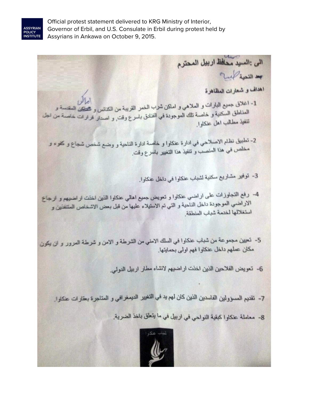

Official protest statement delivered to KRG Ministry of Interior, Governor of Erbil, and U.S. Consulate in Erbil during protest held by Assyrians in Ankawa on October 9, 2015.

الى : السيد محافظ اربيل المحترم Multiple of اهداف و شعارات المظاهرة ا ماكن<br>1- اغلاق جميع البارات و الملاهى و اماكن شرب الخمر القريبة من الكنانس و تشكين المقسسة و<br>العلماطة، المكنية، خلم قتال لا المناطق السكنية و خاصة تلك الموجودة في الفنادق باسرع وقت, و اصدار قرارات خاصة من الجم<br>الغار مطالب ابنا تنفيذ مطالب اهل عنكاوا. 2- تطبيق نظام الاصلاحي في ادارة عنكاوا و خاصة ادارة الناحية و وضع شخص شجاع و كفوء و مخلص في هذا المنصب و تنفيذ هذا التغيير باسرع وقت. 3- توفير مشاريع سكنية لشباب عنكاوا في داخل عنكاوا. 4- رفع التجاوزات على اراضي عنكاوا و تعويض جميع اهالي عنكاوا الذين اخنت اراضيهم و ارجاع.<br>الادان مال الاراضــي الموجودة داخل الناحية و التـي تم الاستيلاء عليها من قبل بـعض الاشخاص المتتفتين و<br>استنظر المنسوخ في الساحية و التـي تم الاستيلاء عليها من قبل بـعض الاشخاص المتتفتين و استغلالها لخدمة شباب المنطقة 5- تعيين مجموعة من شباب عنكاوا في السلك الامني من الشرطة و الامن و شرطة المرور و لن يكون مكان عملهم داخل عنكاوا فهم اولى بحمايتها. 6- تعويض الفلاحين الذين اخنت اراضيهم لانشاء مطار اربيل الدولي. 7- تقديم المسؤولين الفاسدين الذين كان لهم يد في التغيير الديمغر افي و المتاجرة بعقار ات عنكاوا. 8- معاملة عنكاوا كبقية النواحي في اربيل في ما يتعلق باخذ الضرية.